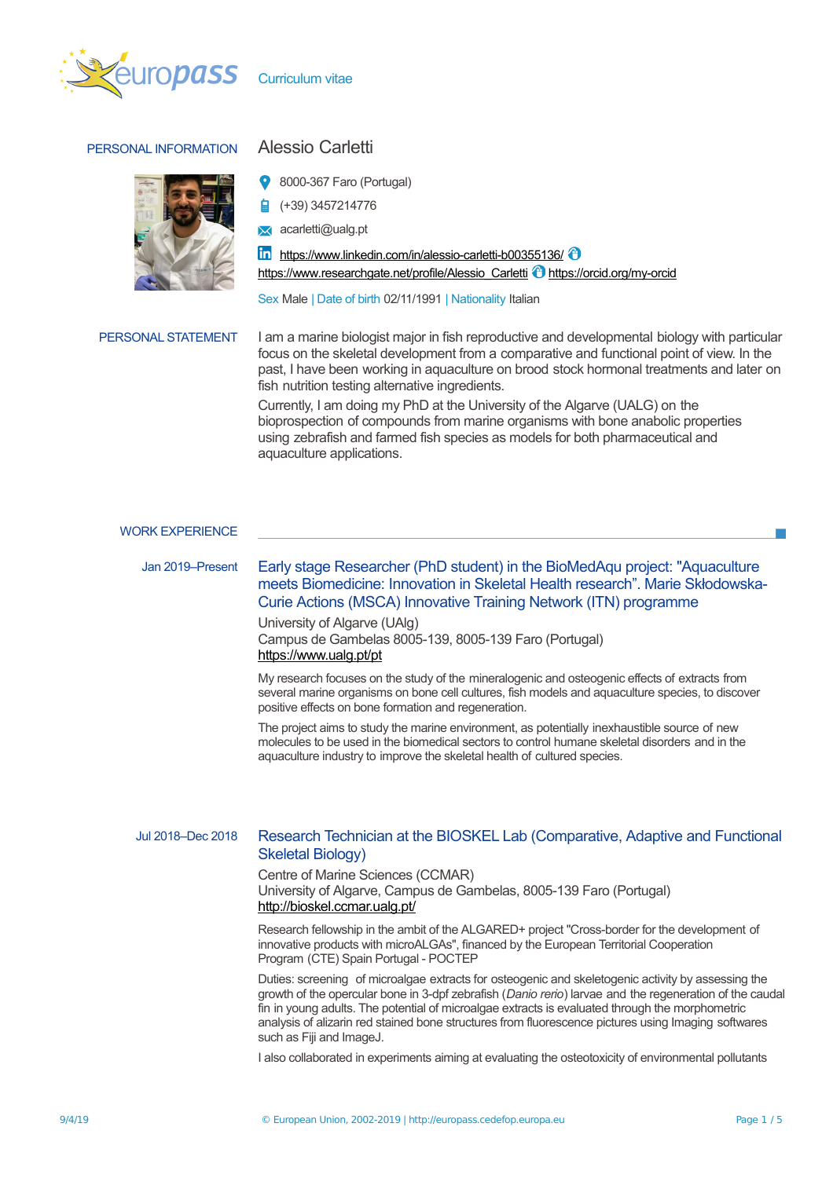

Curriculum vitae

# PERSONAL INFORMATION Alessio Carletti



- 8000-367 Faro (Portugal)
- (+39) 3457214776
- **x** acarletti@ualq.pt

 $\ln$  <https://www.linkedin.com/in/alessio-carletti-b00355136/> $\Theta$ [https://www.researchgate.net/profile/Alessio\\_Carletti](https://www.researchgate.net/profile/Alessio_Carletti) **i**ttps://orcid.org/my-orcid

Sex Male | Date of birth 02/11/1991 | Nationality Italian

PERSONAL STATEMENT I am a marine biologist major in fish reproductive and developmental biology with particular focus on the skeletal development from a comparative and functional point of view. In the past, I have been working in aquaculture on brood stock hormonal treatments and later on fish nutrition testing alternative ingredients.

> Currently, I am doing my PhD at the University of the Algarve (UALG) on the bioprospection of compounds from marine organisms with bone anabolic properties using zebrafish and farmed fish species as models for both pharmaceutical and aquaculture applications.

#### WORK EXPERIENCE

Jan 2019–Present Early stage Researcher (PhD student) in the BioMedAqu project: "Aquaculture meets Biomedicine: Innovation in Skeletal Health research". Marie Skłodowska-Curie Actions (MSCA) Innovative Training Network (ITN) programme

> University of Algarve (UAlg) Campus de Gambelas 8005-139, 8005-139 Faro (Portugal) <https://www.ualg.pt/pt>

My research focuses on the study of the mineralogenic and osteogenic effects of extracts from several marine organisms on bone cell cultures, fish models and aquaculture species, to discover positive effects on bone formation and regeneration.

The project aims to study the marine environment, as potentially inexhaustible source of new molecules to be used in the biomedical sectors to control humane skeletal disorders and in the aquaculture industry to improve the skeletal health of cultured species.

# Jul 2018–Dec 2018 Research Technician at the BIOSKEL Lab (Comparative, Adaptive and Functional Skeletal Biology)

Centre of Marine Sciences (CCMAR) University of Algarve, Campus de Gambelas, 8005-139 Faro (Portugal) <http://bioskel.ccmar.ualg.pt/>

Research fellowship in the ambit of the ALGARED+ project "Cross-border for the development of innovative products with microALGAs", financed by the European Territorial Cooperation Program (CTE) Spain Portugal - POCTEP

Duties: screening of microalgae extracts for osteogenic and skeletogenic activity by assessing the growth of the opercular bone in 3-dpf zebrafish (*Danio rerio*) larvae and the regeneration of the caudal fin in young adults. The potential of microalgae extracts is evaluated through the morphometric analysis of alizarin red stained bone structures from fluorescence pictures using Imaging softwares such as Fiji and ImageJ.

I also collaborated in experiments aiming at evaluating the osteotoxicity of environmental pollutants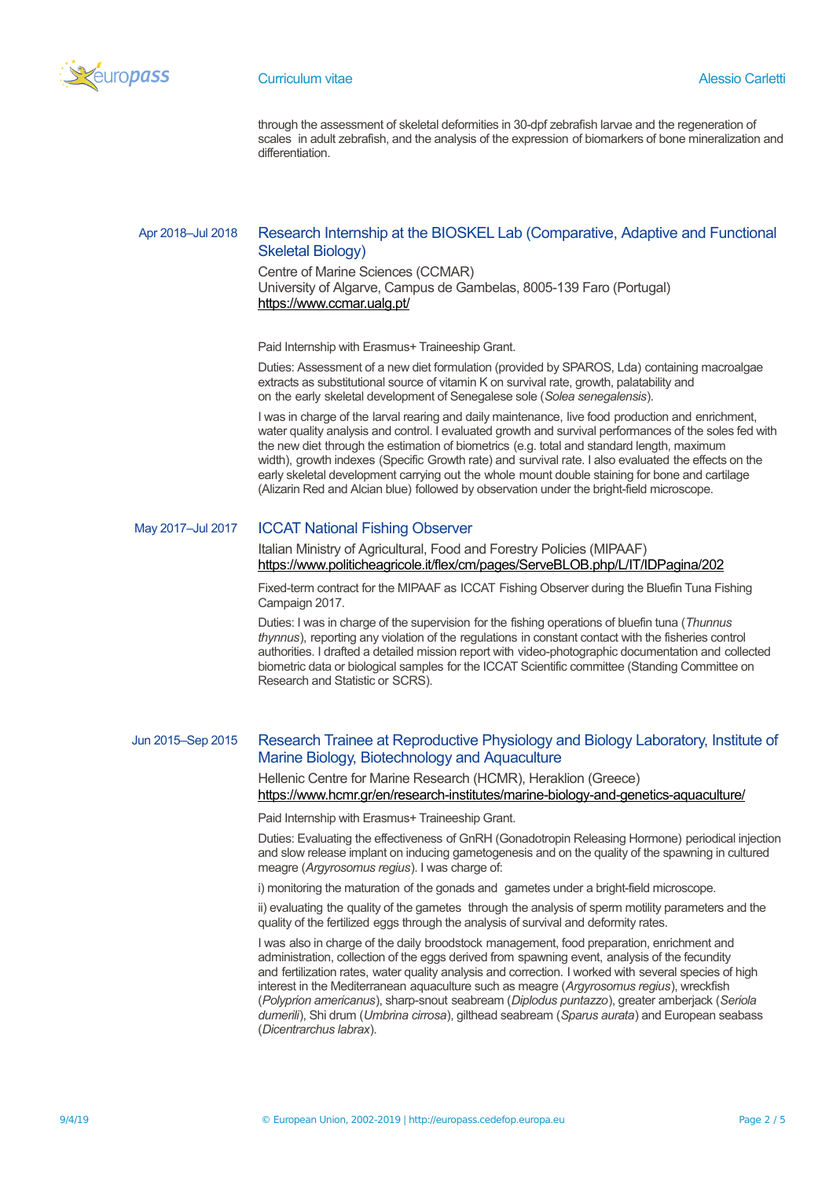

through the assessment of skeletal deformities in 30-dpf zebrafish larvae and the regeneration of scales in adult zebrafish, and the analysis of the expression of biomarkers of bone mineralization and differentiation.

## Apr 2018–Jul 2018 Research Internship at the BIOSKEL Lab (Comparative, Adaptive and Functional Skeletal Biology)

Centre of Marine Sciences (CCMAR) University of Algarve, Campus de Gambelas, 8005-139 Faro (Portugal) <https://www.ccmar.ualg.pt/>

Paid Internship with Erasmus+ Traineeship Grant.

Duties: Assessment of a new diet formulation (provided by SPAROS, Lda) containing macroalgae extracts as substitutional source of vitamin K on survival rate, growth, palatability and on the early skeletal development of Senegalese sole (*Solea senegalensis*).

I was in charge of the larval rearing and daily maintenance, live food production and enrichment, water quality analysis and control. I evaluated growth and survival performances of the soles fed with the new diet through the estimation of biometrics (e.g. total and standard length, maximum width), growth indexes (Specific Growth rate) and survival rate. I also evaluated the effects on the early skeletal development carrying out the whole mount double staining for bone and cartilage (Alizarin Red and Alcian blue) followed by observation under the bright-field microscope.

### May 2017–Jul 2017 ICCAT National Fishing Observer

Italian Ministry of Agricultural, Food and Forestry Policies (MIPAAF) <https://www.politicheagricole.it/flex/cm/pages/ServeBLOB.php/L/IT/IDPagina/202>

Fixed-term contract for the MIPAAF as ICCAT Fishing Observer during the Bluefin Tuna Fishing Campaign 2017.

Duties: I was in charge of the supervision for the fishing operations of bluefin tuna (*Thunnus thynnus*), reporting any violation of the regulations in constant contact with the fisheries control authorities. I drafted a detailed mission report with video-photographic documentation and collected biometric data or biological samples for the ICCAT Scientific committee (Standing Committee on Research and Statistic or SCRS).

# Jun 2015–Sep 2015 Research Trainee at Reproductive Physiology and Biology Laboratory, Institute of Marine Biology, Biotechnology and Aquaculture

Hellenic Centre for Marine Research (HCMR), Heraklion (Greece) <https://www.hcmr.gr/en/research-institutes/marine-biology-and-genetics-aquaculture/>

Paid Internship with Erasmus+ Traineeship Grant.

Duties: Evaluating the effectiveness of GnRH (Gonadotropin Releasing Hormone) periodical injection and slow release implant on inducing gametogenesis and on the quality of the spawning in cultured meagre (*Argyrosomus regius*). I was charge of:

i) monitoring the maturation of the gonads and gametes under a bright-field microscope.

ii) evaluating the quality of the gametes through the analysis of sperm motility parameters and the quality of the fertilized eggs through the analysis of survival and deformity rates.

I was also in charge of the daily broodstock management, food preparation, enrichment and administration, collection of the eggs derived from spawning event, analysis of the fecundity and fertilization rates, water quality analysis and correction. I worked with several species of high interest in the Mediterranean aquaculture such as meagre (*Argyrosomus regius*), wreckfish (*Polyprion americanus*), sharp-snout seabream (*Diplodus puntazzo*), greater amberjack (*Seriola dumerili*), Shi drum (*Umbrina cirrosa*), gilthead seabream (*Sparus aurata*) and European seabass (*Dicentrarchus labrax*).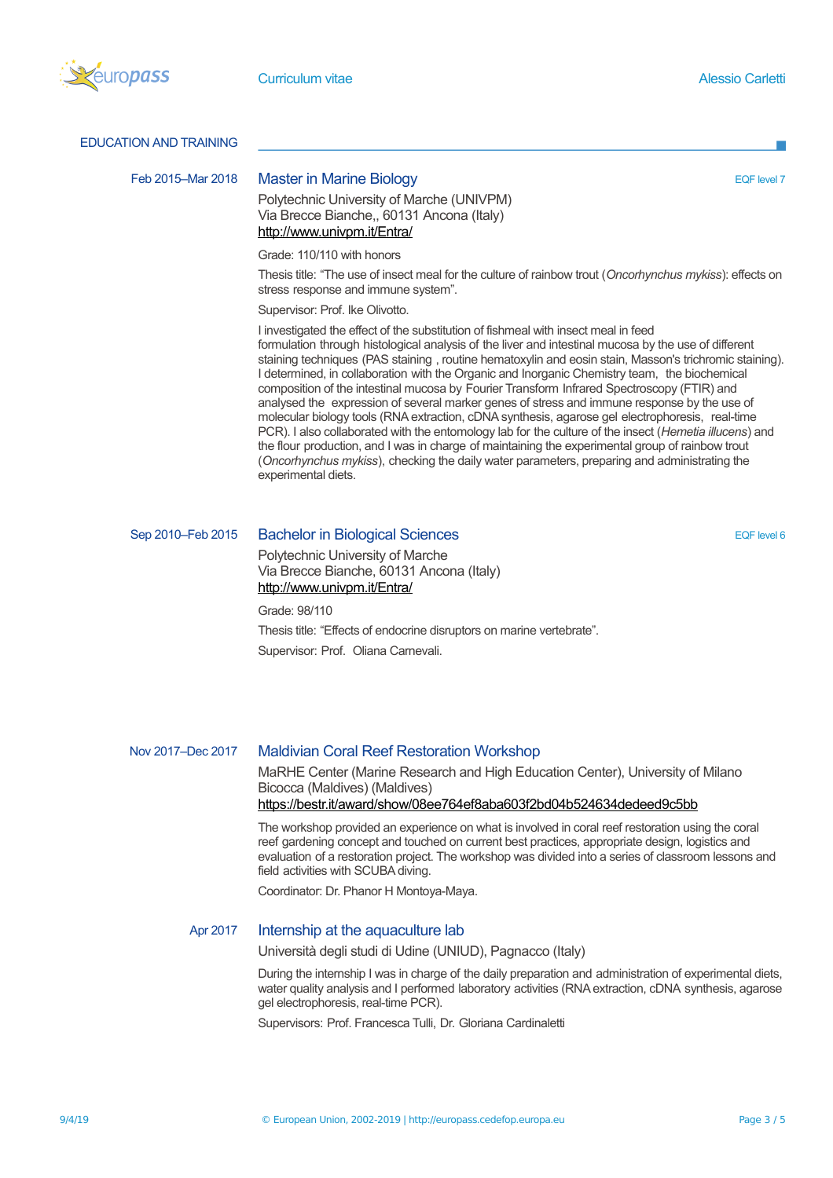

#### EDUCATION AND TRAINING

#### Feb 2015–Mar 2018 Master in Marine Biology **EQF level 7** and the set of the set of the set of the set of the set of the set of the set of the set of the set of the set of the set of the set of the set of the set of the set

Polytechnic University of Marche (UNIVPM) Via Brecce Bianche,, 60131 Ancona (Italy) <http://www.univpm.it/Entra/>

Grade: 110/110 with honors

Thesis title: "The use of insect meal for the culture of rainbow trout (*Oncorhynchus mykiss*): effects on stress response and immune system".

Supervisor: Prof. Ike Olivotto.

I investigated the effect of the substitution of fishmeal with insect meal in feed formulation through histological analysis of the liver and intestinal mucosa by the use of different staining techniques (PAS staining , routine hematoxylin and eosin stain, Masson's trichromic staining). I determined, in collaboration with the Organic and Inorganic Chemistry team, the biochemical composition of the intestinal mucosa by Fourier Transform Infrared Spectroscopy (FTIR) and analysed the expression of several marker genes of stress and immune response by the use of molecular biology tools (RNA extraction, cDNA synthesis, agarose gel electrophoresis, real-time PCR). I also collaborated with the entomology lab for the culture of the insect (*Hemetia illucens*) and the flour production, and I was in charge of maintaining the experimental group of rainbow trout (*Oncorhynchus mykiss*), checking the daily water parameters, preparing and administrating the experimental diets.

# Sep 2010–Feb 2015 Bachelor in Biological Sciences EQF Interval and EQF level 6

Polytechnic University of Marche Via Brecce Bianche, 60131 Ancona (Italy) <http://www.univpm.it/Entra/>

Grade: 98/110

Thesis title: "Effects of endocrine disruptors on marine vertebrate". Supervisor: Prof. Oliana Carnevali.

### Nov 2017–Dec 2017 Maldivian Coral Reef Restoration Workshop

MaRHE Center (Marine Research and High Education Center), University of Milano Bicocca (Maldives) (Maldives) <https://bestr.it/award/show/08ee764ef8aba603f2bd04b524634dedeed9c5bb>

The workshop provided an experience on what is involved in coral reef restoration using the coral reef gardening concept and touched on current best practices, appropriate design, logistics and evaluation of a restoration project. The workshop was divided into a series of classroom lessons and field activities with SCUBA diving.

Coordinator: Dr. Phanor H Montoya-Maya.

### Apr 2017 Internship at the aquaculture lab

Università degli studi di Udine (UNIUD), Pagnacco (Italy)

During the internship I was in charge of the daily preparation and administration of experimental diets, water quality analysis and I performed laboratory activities (RNA extraction, cDNA synthesis, agarose gel electrophoresis, real-time PCR).

Supervisors: Prof. Francesca Tulli, Dr. Gloriana Cardinaletti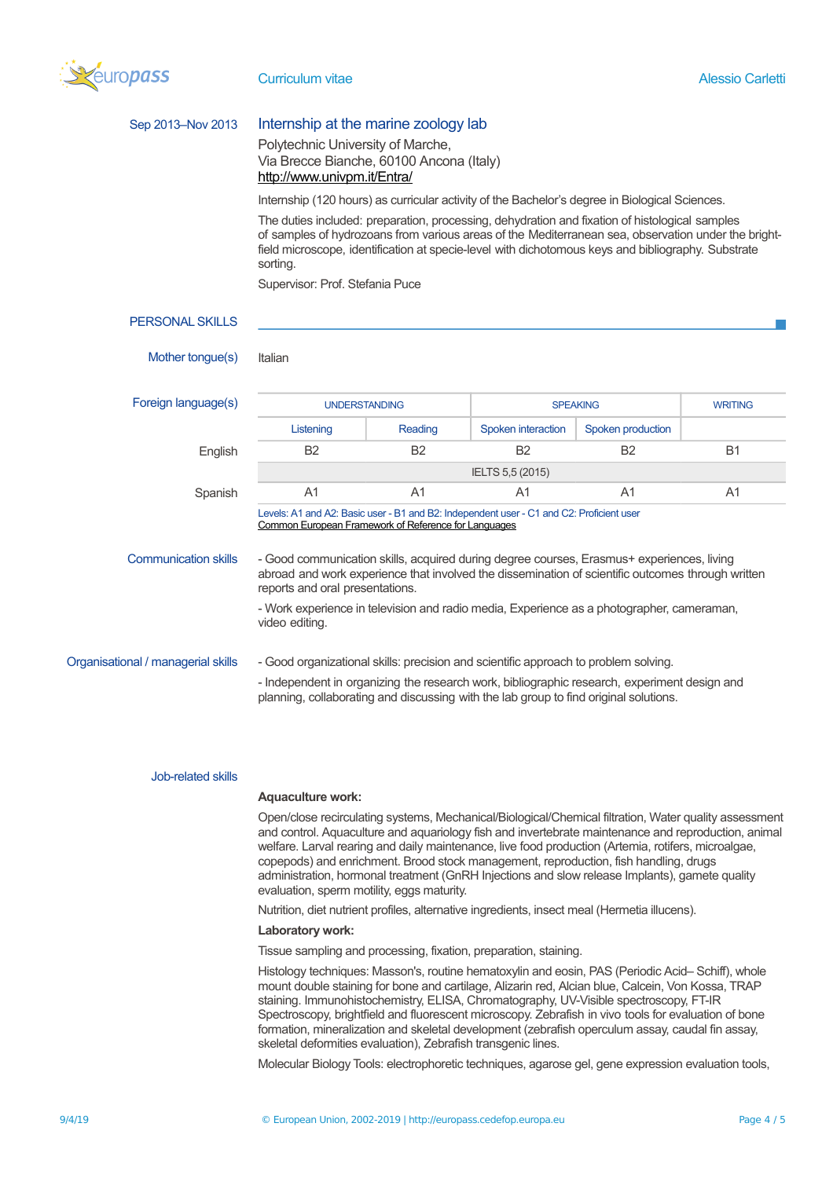

| Sep 2013-Nov 2013                  | Internship at the marine zoology lab                                                                                                                                                                                                                                                                                                                                                                                                                                                                                                                                                                                                                                               |                |                                   |                   |           |  |  |
|------------------------------------|------------------------------------------------------------------------------------------------------------------------------------------------------------------------------------------------------------------------------------------------------------------------------------------------------------------------------------------------------------------------------------------------------------------------------------------------------------------------------------------------------------------------------------------------------------------------------------------------------------------------------------------------------------------------------------|----------------|-----------------------------------|-------------------|-----------|--|--|
|                                    | Polytechnic University of Marche,<br>Via Brecce Bianche, 60100 Ancona (Italy)<br>http://www.univpm.it/Entra/                                                                                                                                                                                                                                                                                                                                                                                                                                                                                                                                                                       |                |                                   |                   |           |  |  |
|                                    | Internship (120 hours) as curricular activity of the Bachelor's degree in Biological Sciences.<br>The duties included: preparation, processing, dehydration and fixation of histological samples<br>of samples of hydrozoans from various areas of the Mediterranean sea, observation under the bright-<br>field microscope, identification at specie-level with dichotomous keys and bibliography. Substrate<br>sorting.<br>Supervisor: Prof. Stefania Puce                                                                                                                                                                                                                       |                |                                   |                   |           |  |  |
|                                    |                                                                                                                                                                                                                                                                                                                                                                                                                                                                                                                                                                                                                                                                                    |                |                                   |                   |           |  |  |
|                                    |                                                                                                                                                                                                                                                                                                                                                                                                                                                                                                                                                                                                                                                                                    |                |                                   |                   |           |  |  |
| <b>PERSONAL SKILLS</b>             |                                                                                                                                                                                                                                                                                                                                                                                                                                                                                                                                                                                                                                                                                    |                |                                   |                   |           |  |  |
| Mother tongue(s)                   | Italian                                                                                                                                                                                                                                                                                                                                                                                                                                                                                                                                                                                                                                                                            |                |                                   |                   |           |  |  |
| Foreign language(s)                | <b>UNDERSTANDING</b>                                                                                                                                                                                                                                                                                                                                                                                                                                                                                                                                                                                                                                                               |                | <b>WRITING</b><br><b>SPEAKING</b> |                   |           |  |  |
|                                    | Listening                                                                                                                                                                                                                                                                                                                                                                                                                                                                                                                                                                                                                                                                          | Reading        | Spoken interaction                | Spoken production |           |  |  |
| English                            | <b>B2</b>                                                                                                                                                                                                                                                                                                                                                                                                                                                                                                                                                                                                                                                                          | <b>B2</b>      | <b>B2</b>                         | B <sub>2</sub>    | <b>B1</b> |  |  |
|                                    |                                                                                                                                                                                                                                                                                                                                                                                                                                                                                                                                                                                                                                                                                    |                | IELTS 5,5 (2015)                  |                   |           |  |  |
| Spanish                            | A <sub>1</sub>                                                                                                                                                                                                                                                                                                                                                                                                                                                                                                                                                                                                                                                                     | A <sub>1</sub> | A1                                | A1                | A1        |  |  |
| <b>Communication skills</b>        | Levels: A1 and A2: Basic user - B1 and B2: Independent user - C1 and C2: Proficient user<br>Common European Framework of Reference for Languages<br>- Good communication skills, acquired during degree courses, Erasmus+ experiences, living                                                                                                                                                                                                                                                                                                                                                                                                                                      |                |                                   |                   |           |  |  |
|                                    | abroad and work experience that involved the dissemination of scientific outcomes through written<br>reports and oral presentations.<br>- Work experience in television and radio media, Experience as a photographer, cameraman,                                                                                                                                                                                                                                                                                                                                                                                                                                                  |                |                                   |                   |           |  |  |
|                                    | video editing.                                                                                                                                                                                                                                                                                                                                                                                                                                                                                                                                                                                                                                                                     |                |                                   |                   |           |  |  |
| Organisational / managerial skills | - Good organizational skills: precision and scientific approach to problem solving.                                                                                                                                                                                                                                                                                                                                                                                                                                                                                                                                                                                                |                |                                   |                   |           |  |  |
|                                    | - Independent in organizing the research work, bibliographic research, experiment design and<br>planning, collaborating and discussing with the lab group to find original solutions.                                                                                                                                                                                                                                                                                                                                                                                                                                                                                              |                |                                   |                   |           |  |  |
| Job-related skills                 |                                                                                                                                                                                                                                                                                                                                                                                                                                                                                                                                                                                                                                                                                    |                |                                   |                   |           |  |  |
|                                    | <b>Aquaculture work:</b>                                                                                                                                                                                                                                                                                                                                                                                                                                                                                                                                                                                                                                                           |                |                                   |                   |           |  |  |
|                                    | Open/close recirculating systems, Mechanical/Biological/Chemical filtration, Water quality assessment<br>and control. Aquaculture and aquariology fish and invertebrate maintenance and reproduction, animal<br>welfare. Larval rearing and daily maintenance, live food production (Artemia, rotifers, microalgae,<br>copepods) and enrichment. Brood stock management, reproduction, fish handling, drugs<br>administration, hormonal treatment (GnRH Injections and slow release Implants), gamete quality<br>evaluation, sperm motility, eggs maturity.                                                                                                                        |                |                                   |                   |           |  |  |
|                                    | Nutrition, diet nutrient profiles, alternative ingredients, insect meal (Hermetia illucens).                                                                                                                                                                                                                                                                                                                                                                                                                                                                                                                                                                                       |                |                                   |                   |           |  |  |
|                                    | Laboratory work:                                                                                                                                                                                                                                                                                                                                                                                                                                                                                                                                                                                                                                                                   |                |                                   |                   |           |  |  |
|                                    | Tissue sampling and processing, fixation, preparation, staining.                                                                                                                                                                                                                                                                                                                                                                                                                                                                                                                                                                                                                   |                |                                   |                   |           |  |  |
|                                    | Histology techniques: Masson's, routine hematoxylin and eosin, PAS (Periodic Acid-Schiff), whole<br>mount double staining for bone and cartilage, Alizarin red, Alcian blue, Calcein, Von Kossa, TRAP<br>staining. Immunohistochemistry, ELISA, Chromatography, UV-Visible spectroscopy, FT-IR<br>Spectroscopy, brightfield and fluorescent microscopy. Zebrafish in vivo tools for evaluation of bone<br>formation, mineralization and skeletal development (zebrafish operculum assay, caudal fin assay,<br>skeletal deformities evaluation), Zebrafish transgenic lines.<br>Molecular Biology Tools: electrophoretic techniques, agarose gel, gene expression evaluation tools, |                |                                   |                   |           |  |  |
|                                    |                                                                                                                                                                                                                                                                                                                                                                                                                                                                                                                                                                                                                                                                                    |                |                                   |                   |           |  |  |